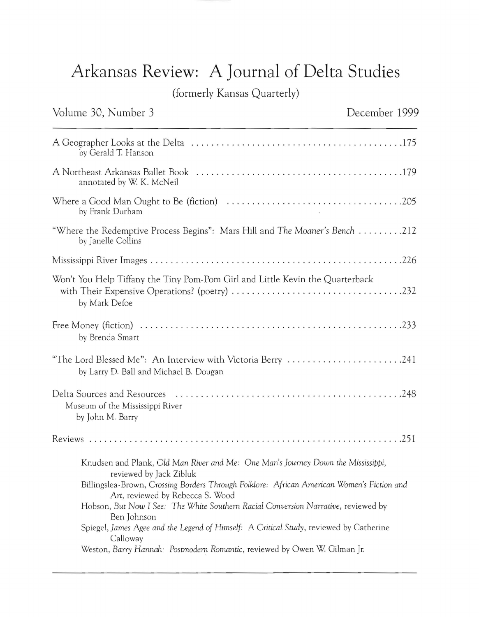## **Arkansas Review: A Journal of Delta Studies**

(formerly Kansas Quarterly)

## Volume 30, Number 3 and 1999 December 1999 A Geographer Looks at the Delta ...... ... ... . ................. . ...........175 by Gerald T. Hanson A Northeast Arkansas Ballet Book .........................................179 annotated by W. K. McNeil Where a Good Man Ought to Be (fiction) ................................ . ..205 by Frank Durham "Where the Redemptive Process Begins": Mars **Hill** and *The Moaner's Bench .* ........212 by Janelle Collins Mississippi River Images ................................ . .................226 Won't You Help Tiffany the Tiny Pom-Pom Girl and Little Kevin the Quarterback with Their Expensive Operations? (poetry) ........ .. ................ .. ......232 by Mark Defoe Free Money (fiction) ....................................................233 by Brenda Smart "The Lord Blessed Me": An Interview with Victoria Berry .......................241 by Larry D. Ball and Michael B. Dougan Delta Sources and Resources ........... .. ................................248 Museum of the Mississippi River by John M. Barry Revie\vs ..............................................................251 Knudsen and Plank, *Old Man River and Me: One Man's Journey Down the Mississippi*, reviewed by Jack Zibluk Billingslea-Brown, *Crossing Borders Through Folklore: African American Women's Fiction and Art,* reviewed by Rebecca S. Wood Hobson, *But Now* I *See: The White Southern Racial Conversion Narrative,* reviewed by Ben Johnson Spiegel, *James Agee and the Legend of Himself:* A *Critical Study,* reviewed by Catherine Calloway Weston, *Barry Hannah: Postmodem Romantic,* reviewed by Owen W Gilman Jr.